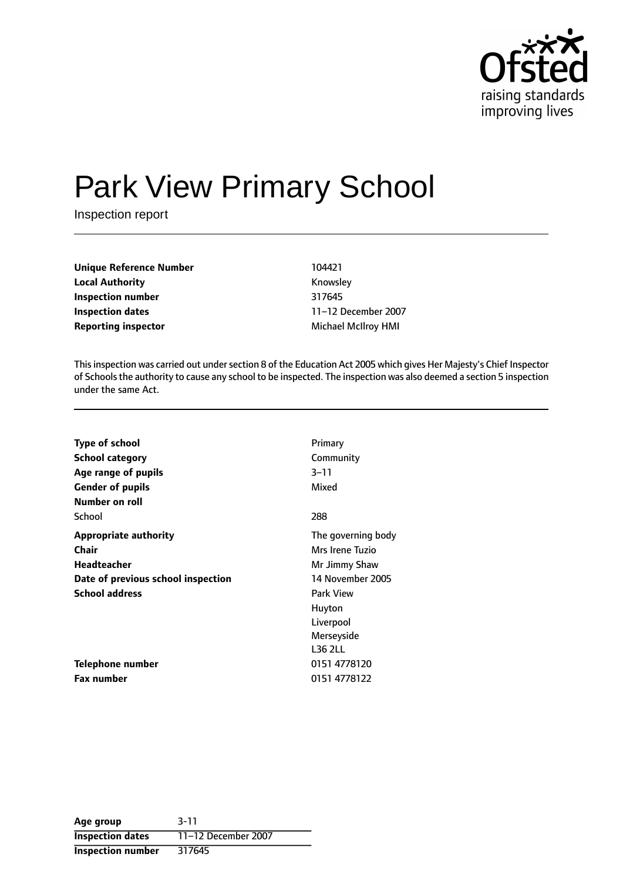

# Park View Primary School

Inspection report

**Unique Reference Number** 104421 **Local Authority Knowsley Inspection number** 317645 **Inspection dates** 11-12 December 2007 **Reporting inspector** Michael McIlroy HMI

This inspection was carried out under section 8 of the Education Act 2005 which gives Her Majesty's Chief Inspector of Schoolsthe authority to cause any school to be inspected. The inspection was also deemed a section 5 inspection under the same Act.

| <b>Type of school</b>              | Primary            |
|------------------------------------|--------------------|
| <b>School category</b>             | Community          |
| Age range of pupils                | $3 - 11$           |
| <b>Gender of pupils</b>            | Mixed              |
| Number on roll                     |                    |
| School                             | 288                |
| <b>Appropriate authority</b>       | The governing body |
| <b>Chair</b>                       | Mrs Irene Tuzio    |
| Headteacher                        | Mr Jimmy Shaw      |
| Date of previous school inspection | 14 November 2005   |
| <b>School address</b>              | <b>Park View</b>   |
|                                    | Huyton             |
|                                    | Liverpool          |
|                                    | Merseyside         |
|                                    | <b>L36 2LL</b>     |
| Telephone number                   | 0151 4778120       |
| <b>Fax number</b>                  | 0151 4778122       |

| Age group                | $3 - 11$            |
|--------------------------|---------------------|
| <b>Inspection dates</b>  | 11-12 December 2007 |
| <b>Inspection number</b> | 317645              |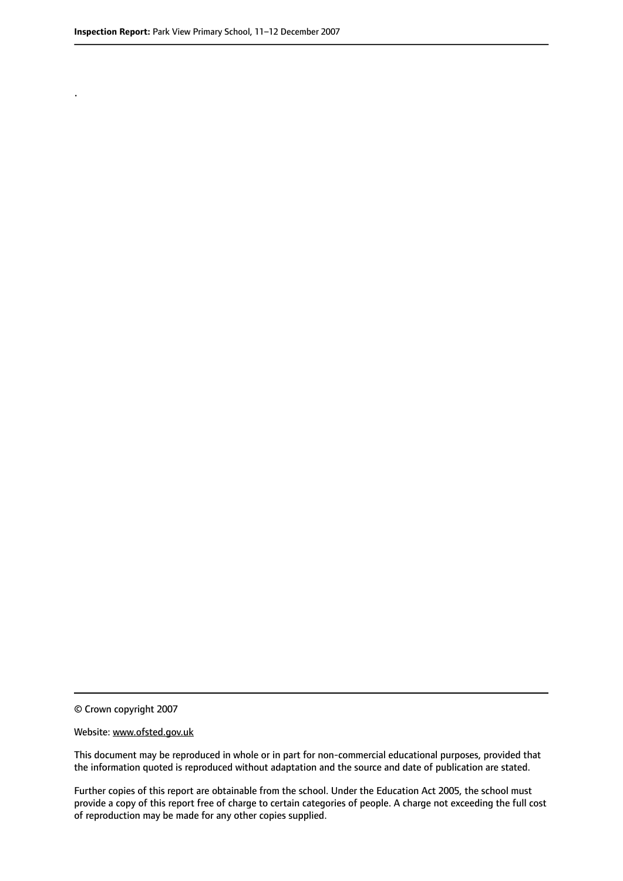.

© Crown copyright 2007

#### Website: www.ofsted.gov.uk

This document may be reproduced in whole or in part for non-commercial educational purposes, provided that the information quoted is reproduced without adaptation and the source and date of publication are stated.

Further copies of this report are obtainable from the school. Under the Education Act 2005, the school must provide a copy of this report free of charge to certain categories of people. A charge not exceeding the full cost of reproduction may be made for any other copies supplied.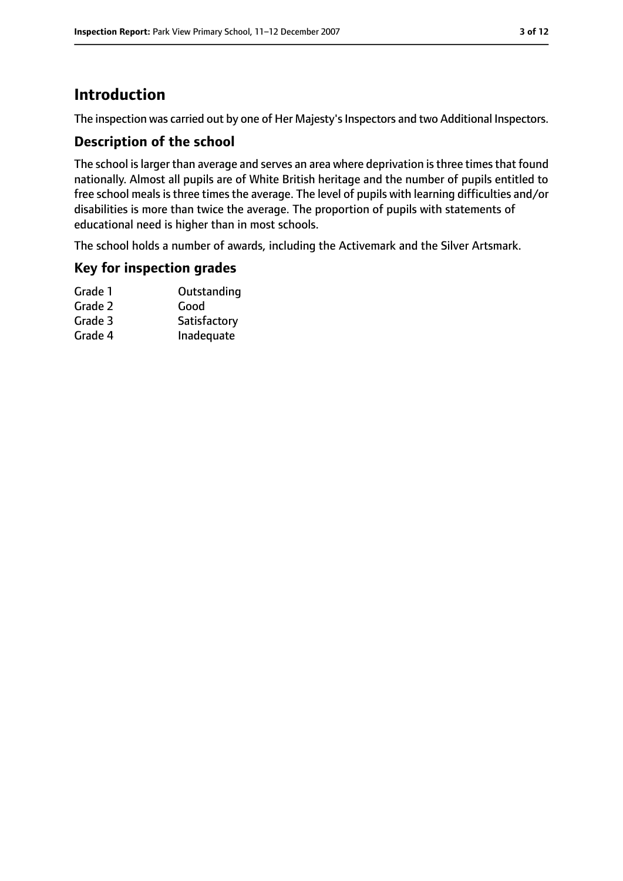# **Introduction**

The inspection was carried out by one of Her Majesty's Inspectors and two Additional Inspectors.

## **Description of the school**

The school is larger than average and serves an area where deprivation is three times that found nationally. Almost all pupils are of White British heritage and the number of pupils entitled to free school meals is three times the average. The level of pupils with learning difficulties and/or disabilities is more than twice the average. The proportion of pupils with statements of educational need is higher than in most schools.

The school holds a number of awards, including the Activemark and the Silver Artsmark.

## **Key for inspection grades**

| Grade 1 | Outstanding  |
|---------|--------------|
| Grade 2 | Good         |
| Grade 3 | Satisfactory |
| Grade 4 | Inadequate   |
|         |              |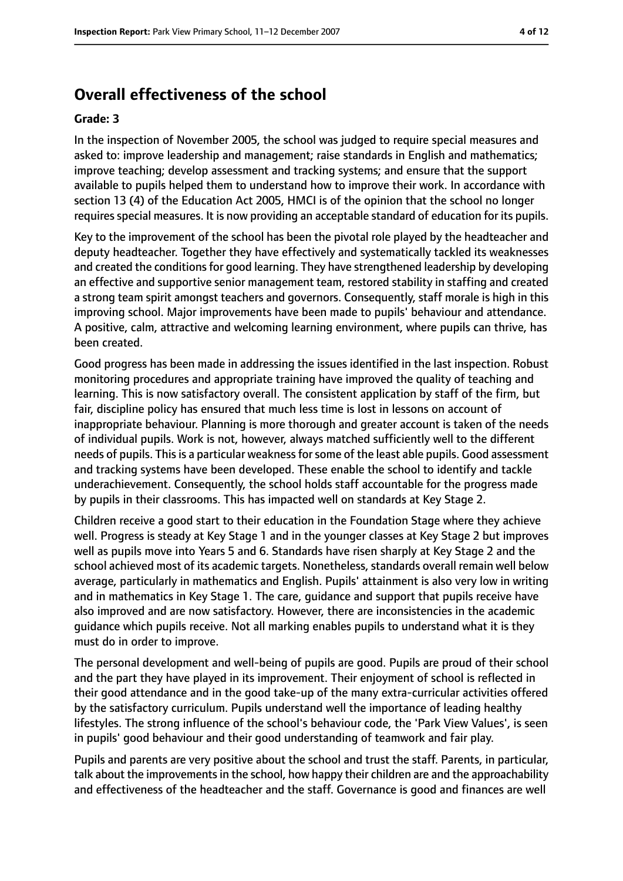# **Overall effectiveness of the school**

#### **Grade: 3**

In the inspection of November 2005, the school was judged to require special measures and asked to: improve leadership and management; raise standards in English and mathematics; improve teaching; develop assessment and tracking systems; and ensure that the support available to pupils helped them to understand how to improve their work. In accordance with section 13 (4) of the Education Act 2005, HMCI is of the opinion that the school no longer requires special measures. It is now providing an acceptable standard of education for its pupils.

Key to the improvement of the school has been the pivotal role played by the headteacher and deputy headteacher. Together they have effectively and systematically tackled its weaknesses and created the conditions for good learning. They have strengthened leadership by developing an effective and supportive senior management team, restored stability in staffing and created a strong team spirit amongst teachers and governors. Consequently, staff morale is high in this improving school. Major improvements have been made to pupils' behaviour and attendance. A positive, calm, attractive and welcoming learning environment, where pupils can thrive, has been created.

Good progress has been made in addressing the issues identified in the last inspection. Robust monitoring procedures and appropriate training have improved the quality of teaching and learning. This is now satisfactory overall. The consistent application by staff of the firm, but fair, discipline policy has ensured that much less time is lost in lessons on account of inappropriate behaviour. Planning is more thorough and greater account is taken of the needs of individual pupils. Work is not, however, always matched sufficiently well to the different needs of pupils. Thisis a particular weaknessforsome of the least able pupils. Good assessment and tracking systems have been developed. These enable the school to identify and tackle underachievement. Consequently, the school holds staff accountable for the progress made by pupils in their classrooms. This has impacted well on standards at Key Stage 2.

Children receive a good start to their education in the Foundation Stage where they achieve well. Progress is steady at Key Stage 1 and in the younger classes at Key Stage 2 but improves well as pupils move into Years 5 and 6. Standards have risen sharply at Key Stage 2 and the school achieved most of its academic targets. Nonetheless, standards overall remain well below average, particularly in mathematics and English. Pupils' attainment is also very low in writing and in mathematics in Key Stage 1. The care, guidance and support that pupils receive have also improved and are now satisfactory. However, there are inconsistencies in the academic guidance which pupils receive. Not all marking enables pupils to understand what it is they must do in order to improve.

The personal development and well-being of pupils are good. Pupils are proud of their school and the part they have played in its improvement. Their enjoyment of school is reflected in their good attendance and in the good take-up of the many extra-curricular activities offered by the satisfactory curriculum. Pupils understand well the importance of leading healthy lifestyles. The strong influence of the school's behaviour code, the 'Park View Values', is seen in pupils' good behaviour and their good understanding of teamwork and fair play.

Pupils and parents are very positive about the school and trust the staff. Parents, in particular, talk about the improvements in the school, how happy their children are and the approachability and effectiveness of the headteacher and the staff. Governance is good and finances are well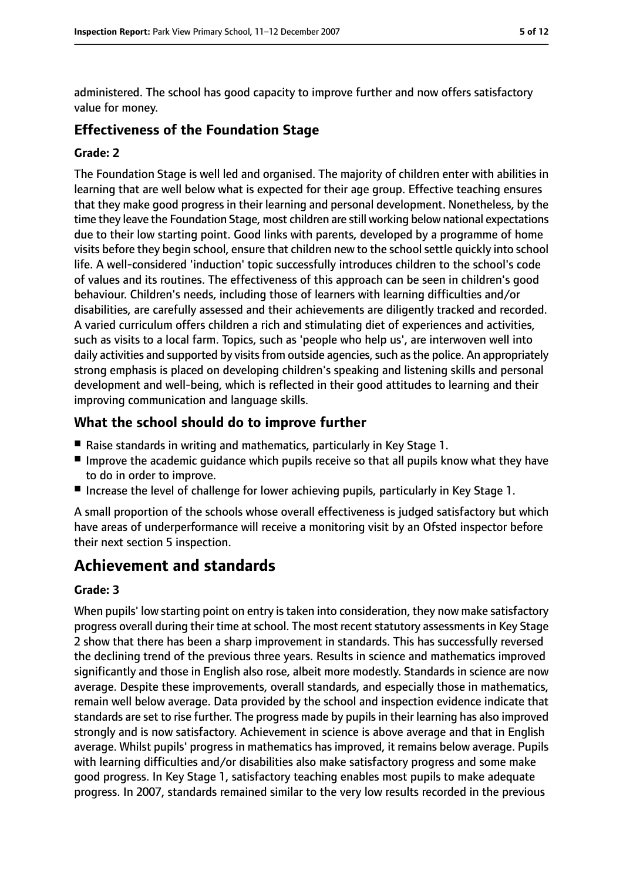administered. The school has good capacity to improve further and now offers satisfactory value for money.

## **Effectiveness of the Foundation Stage**

#### **Grade: 2**

The Foundation Stage is well led and organised. The majority of children enter with abilities in learning that are well below what is expected for their age group. Effective teaching ensures that they make good progress in their learning and personal development. Nonetheless, by the time they leave the Foundation Stage, most children are still working below national expectations due to their low starting point. Good links with parents, developed by a programme of home visits before they begin school, ensure that children new to the schoolsettle quickly into school life. A well-considered 'induction' topic successfully introduces children to the school's code of values and its routines. The effectiveness of this approach can be seen in children's good behaviour. Children's needs, including those of learners with learning difficulties and/or disabilities, are carefully assessed and their achievements are diligently tracked and recorded. A varied curriculum offers children a rich and stimulating diet of experiences and activities, such as visits to a local farm. Topics, such as 'people who help us', are interwoven well into daily activities and supported by visits from outside agencies, such as the police. An appropriately strong emphasis is placed on developing children's speaking and listening skills and personal development and well-being, which is reflected in their good attitudes to learning and their improving communication and language skills.

## **What the school should do to improve further**

- Raise standards in writing and mathematics, particularly in Key Stage 1.
- Improve the academic quidance which pupils receive so that all pupils know what they have to do in order to improve.
- Increase the level of challenge for lower achieving pupils, particularly in Key Stage 1.

A small proportion of the schools whose overall effectiveness is judged satisfactory but which have areas of underperformance will receive a monitoring visit by an Ofsted inspector before their next section 5 inspection.

# **Achievement and standards**

#### **Grade: 3**

When pupils' low starting point on entry is taken into consideration, they now make satisfactory progress overall during their time at school. The most recent statutory assessments in Key Stage 2 show that there has been a sharp improvement in standards. This has successfully reversed the declining trend of the previous three years. Results in science and mathematics improved significantly and those in English also rose, albeit more modestly. Standards in science are now average. Despite these improvements, overall standards, and especially those in mathematics, remain well below average. Data provided by the school and inspection evidence indicate that standards are set to rise further. The progress made by pupils in their learning has also improved strongly and is now satisfactory. Achievement in science is above average and that in English average. Whilst pupils' progress in mathematics has improved, it remains below average. Pupils with learning difficulties and/or disabilities also make satisfactory progress and some make good progress. In Key Stage 1, satisfactory teaching enables most pupils to make adequate progress. In 2007, standards remained similar to the very low results recorded in the previous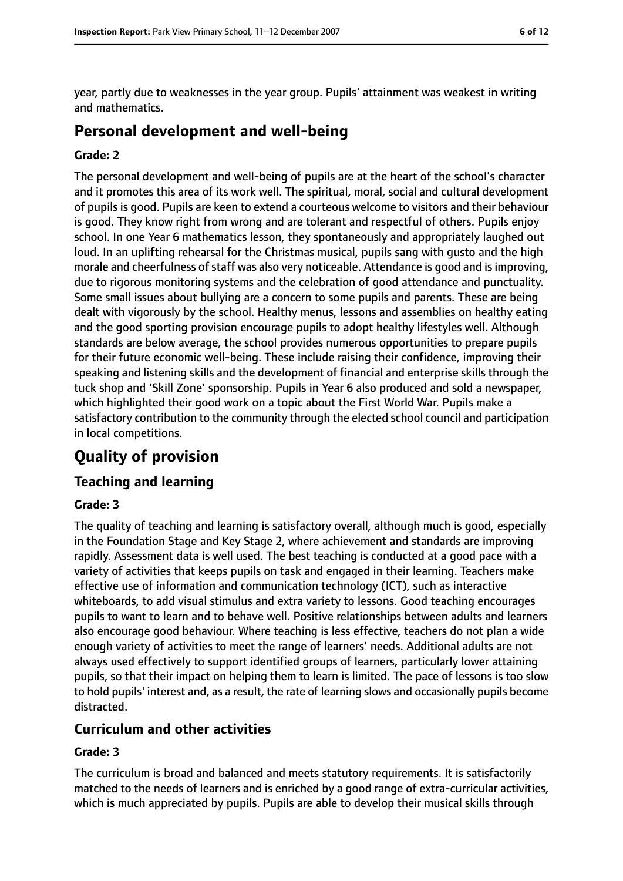year, partly due to weaknesses in the year group. Pupils' attainment was weakest in writing and mathematics.

# **Personal development and well-being**

#### **Grade: 2**

The personal development and well-being of pupils are at the heart of the school's character and it promotes this area of its work well. The spiritual, moral, social and cultural development of pupils is good. Pupils are keen to extend a courteous welcome to visitors and their behaviour is good. They know right from wrong and are tolerant and respectful of others. Pupils enjoy school. In one Year 6 mathematics lesson, they spontaneously and appropriately laughed out loud. In an uplifting rehearsal for the Christmas musical, pupils sang with gusto and the high morale and cheerfulness of staff was also very noticeable. Attendance is good and is improving, due to rigorous monitoring systems and the celebration of good attendance and punctuality. Some small issues about bullying are a concern to some pupils and parents. These are being dealt with vigorously by the school. Healthy menus, lessons and assemblies on healthy eating and the good sporting provision encourage pupils to adopt healthy lifestyles well. Although standards are below average, the school provides numerous opportunities to prepare pupils for their future economic well-being. These include raising their confidence, improving their speaking and listening skills and the development of financial and enterprise skills through the tuck shop and 'Skill Zone' sponsorship. Pupils in Year 6 also produced and sold a newspaper, which highlighted their good work on a topic about the First World War. Pupils make a satisfactory contribution to the community through the elected school council and participation in local competitions.

# **Quality of provision**

## **Teaching and learning**

#### **Grade: 3**

The quality of teaching and learning is satisfactory overall, although much is good, especially in the Foundation Stage and Key Stage 2, where achievement and standards are improving rapidly. Assessment data is well used. The best teaching is conducted at a good pace with a variety of activities that keeps pupils on task and engaged in their learning. Teachers make effective use of information and communication technology (ICT), such as interactive whiteboards, to add visual stimulus and extra variety to lessons. Good teaching encourages pupils to want to learn and to behave well. Positive relationships between adults and learners also encourage good behaviour. Where teaching is less effective, teachers do not plan a wide enough variety of activities to meet the range of learners' needs. Additional adults are not always used effectively to support identified groups of learners, particularly lower attaining pupils, so that their impact on helping them to learn is limited. The pace of lessons is too slow to hold pupils' interest and, as a result, the rate of learning slows and occasionally pupils become distracted.

#### **Curriculum and other activities**

#### **Grade: 3**

The curriculum is broad and balanced and meets statutory requirements. It is satisfactorily matched to the needs of learners and is enriched by a good range of extra-curricular activities, which is much appreciated by pupils. Pupils are able to develop their musical skills through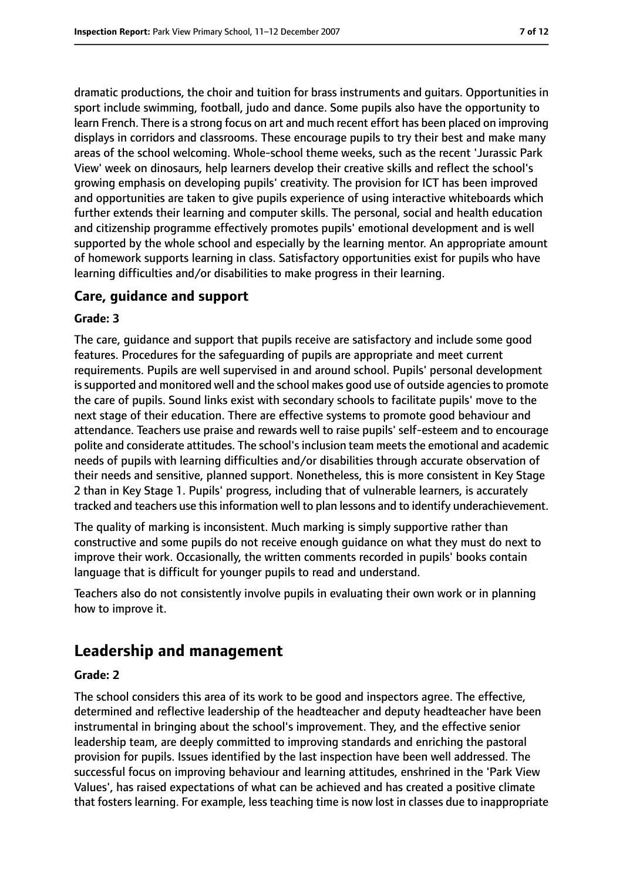dramatic productions, the choir and tuition for brass instruments and guitars. Opportunities in sport include swimming, football, judo and dance. Some pupils also have the opportunity to learn French. There is a strong focus on art and much recent effort has been placed on improving displays in corridors and classrooms. These encourage pupils to try their best and make many areas of the school welcoming. Whole-school theme weeks, such as the recent 'Jurassic Park View' week on dinosaurs, help learners develop their creative skills and reflect the school's growing emphasis on developing pupils' creativity. The provision for ICT has been improved and opportunities are taken to give pupils experience of using interactive whiteboards which further extends their learning and computer skills. The personal, social and health education and citizenship programme effectively promotes pupils' emotional development and is well supported by the whole school and especially by the learning mentor. An appropriate amount of homework supports learning in class. Satisfactory opportunities exist for pupils who have learning difficulties and/or disabilities to make progress in their learning.

## **Care, guidance and support**

#### **Grade: 3**

The care, guidance and support that pupils receive are satisfactory and include some good features. Procedures for the safeguarding of pupils are appropriate and meet current requirements. Pupils are well supervised in and around school. Pupils' personal development is supported and monitored well and the school makes good use of outside agencies to promote the care of pupils. Sound links exist with secondary schools to facilitate pupils' move to the next stage of their education. There are effective systems to promote good behaviour and attendance. Teachers use praise and rewards well to raise pupils' self-esteem and to encourage polite and considerate attitudes. The school's inclusion team meets the emotional and academic needs of pupils with learning difficulties and/or disabilities through accurate observation of their needs and sensitive, planned support. Nonetheless, this is more consistent in Key Stage 2 than in Key Stage 1. Pupils' progress, including that of vulnerable learners, is accurately tracked and teachers use thisinformation well to plan lessons and to identify underachievement.

The quality of marking is inconsistent. Much marking is simply supportive rather than constructive and some pupils do not receive enough guidance on what they must do next to improve their work. Occasionally, the written comments recorded in pupils' books contain language that is difficult for younger pupils to read and understand.

Teachers also do not consistently involve pupils in evaluating their own work or in planning how to improve it.

# **Leadership and management**

#### **Grade: 2**

The school considers this area of its work to be good and inspectors agree. The effective, determined and reflective leadership of the headteacher and deputy headteacher have been instrumental in bringing about the school's improvement. They, and the effective senior leadership team, are deeply committed to improving standards and enriching the pastoral provision for pupils. Issues identified by the last inspection have been well addressed. The successful focus on improving behaviour and learning attitudes, enshrined in the 'Park View Values', has raised expectations of what can be achieved and has created a positive climate that fosters learning. For example, less teaching time is now lost in classes due to inappropriate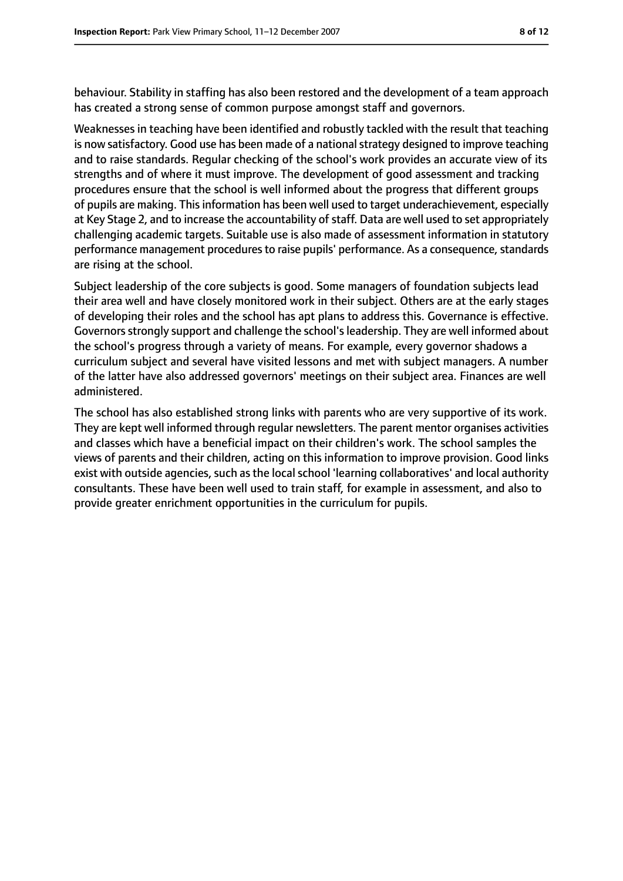behaviour. Stability in staffing has also been restored and the development of a team approach has created a strong sense of common purpose amongst staff and governors.

Weaknesses in teaching have been identified and robustly tackled with the result that teaching is now satisfactory. Good use has been made of a national strategy designed to improve teaching and to raise standards. Regular checking of the school's work provides an accurate view of its strengths and of where it must improve. The development of good assessment and tracking procedures ensure that the school is well informed about the progress that different groups of pupils are making. This information has been well used to target underachievement, especially at Key Stage 2, and to increase the accountability of staff. Data are well used to set appropriately challenging academic targets. Suitable use is also made of assessment information in statutory performance management procedures to raise pupils' performance. As a consequence, standards are rising at the school.

Subject leadership of the core subjects is good. Some managers of foundation subjects lead their area well and have closely monitored work in their subject. Others are at the early stages of developing their roles and the school has apt plans to address this. Governance is effective. Governors strongly support and challenge the school's leadership. They are well informed about the school's progress through a variety of means. For example, every governor shadows a curriculum subject and several have visited lessons and met with subject managers. A number of the latter have also addressed governors' meetings on their subject area. Finances are well administered.

The school has also established strong links with parents who are very supportive of its work. They are kept well informed through regular newsletters. The parent mentor organises activities and classes which have a beneficial impact on their children's work. The school samples the views of parents and their children, acting on this information to improve provision. Good links exist with outside agencies, such as the local school 'learning collaboratives' and local authority consultants. These have been well used to train staff, for example in assessment, and also to provide greater enrichment opportunities in the curriculum for pupils.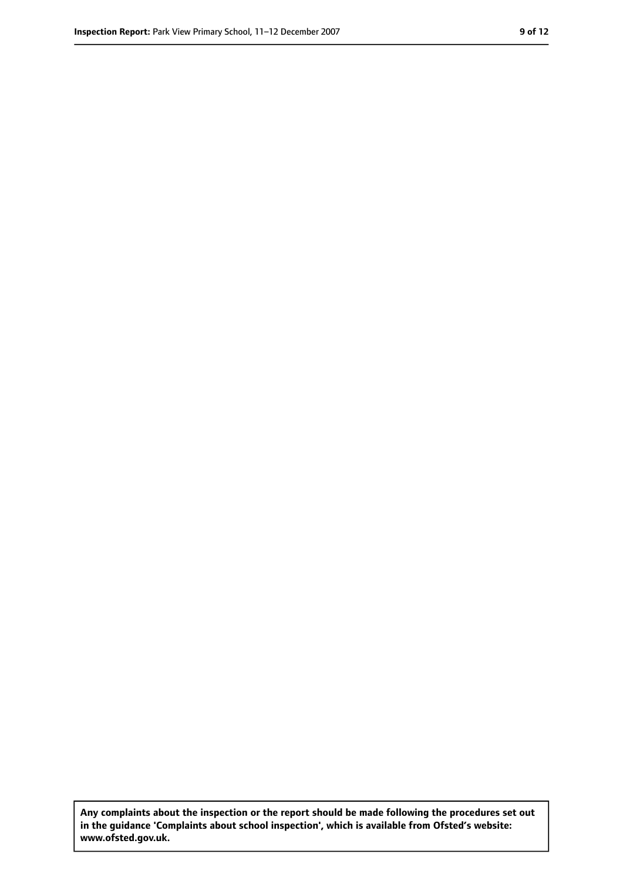**Any complaints about the inspection or the report should be made following the procedures set out in the guidance 'Complaints about school inspection', which is available from Ofsted's website: www.ofsted.gov.uk.**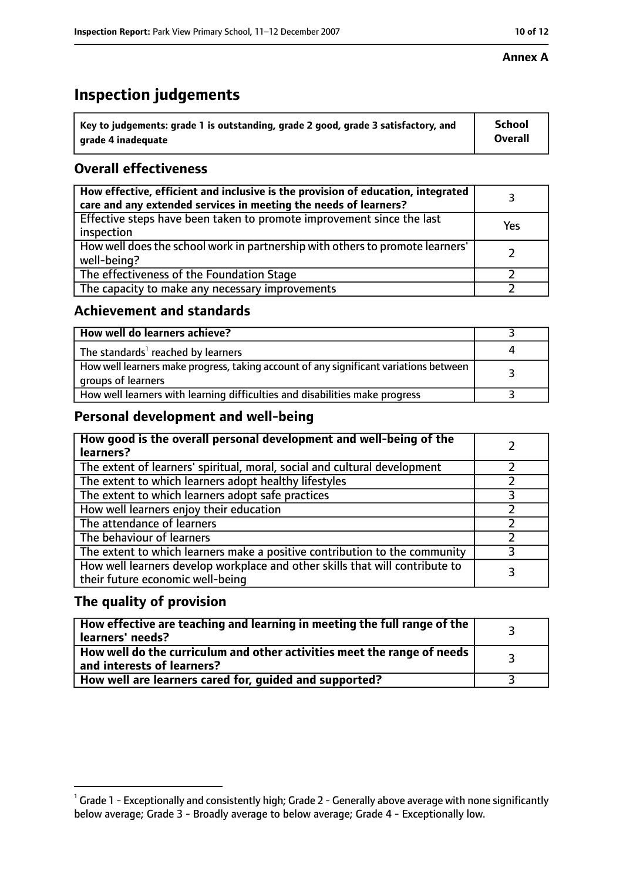# **Inspection judgements**

| $^{\backprime}$ Key to judgements: grade 1 is outstanding, grade 2 good, grade 3 satisfactory, and | <b>School</b>  |
|----------------------------------------------------------------------------------------------------|----------------|
| arade 4 inadequate                                                                                 | <b>Overall</b> |

# **Overall effectiveness**

| How effective, efficient and inclusive is the provision of education, integrated<br>care and any extended services in meeting the needs of learners? |     |
|------------------------------------------------------------------------------------------------------------------------------------------------------|-----|
| Effective steps have been taken to promote improvement since the last<br>inspection                                                                  | Yes |
| How well does the school work in partnership with others to promote learners'<br>well-being?                                                         |     |
| The effectiveness of the Foundation Stage                                                                                                            |     |
| The capacity to make any necessary improvements                                                                                                      |     |

## **Achievement and standards**

| How well do learners achieve?                                                                               |  |
|-------------------------------------------------------------------------------------------------------------|--|
| The standards <sup>1</sup> reached by learners                                                              |  |
| How well learners make progress, taking account of any significant variations between<br>groups of learners |  |
| How well learners with learning difficulties and disabilities make progress                                 |  |

# **Personal development and well-being**

| How good is the overall personal development and well-being of the<br>learners?                                  |  |
|------------------------------------------------------------------------------------------------------------------|--|
| The extent of learners' spiritual, moral, social and cultural development                                        |  |
| The extent to which learners adopt healthy lifestyles                                                            |  |
| The extent to which learners adopt safe practices                                                                |  |
| How well learners enjoy their education                                                                          |  |
| The attendance of learners                                                                                       |  |
| The behaviour of learners                                                                                        |  |
| The extent to which learners make a positive contribution to the community                                       |  |
| How well learners develop workplace and other skills that will contribute to<br>their future economic well-being |  |

# **The quality of provision**

| How effective are teaching and learning in meeting the full range of the<br>learners' needs?          |  |
|-------------------------------------------------------------------------------------------------------|--|
| How well do the curriculum and other activities meet the range of needs<br>and interests of learners? |  |
| How well are learners cared for, guided and supported?                                                |  |

 $^1$  Grade 1 - Exceptionally and consistently high; Grade 2 - Generally above average with none significantly below average; Grade 3 - Broadly average to below average; Grade 4 - Exceptionally low.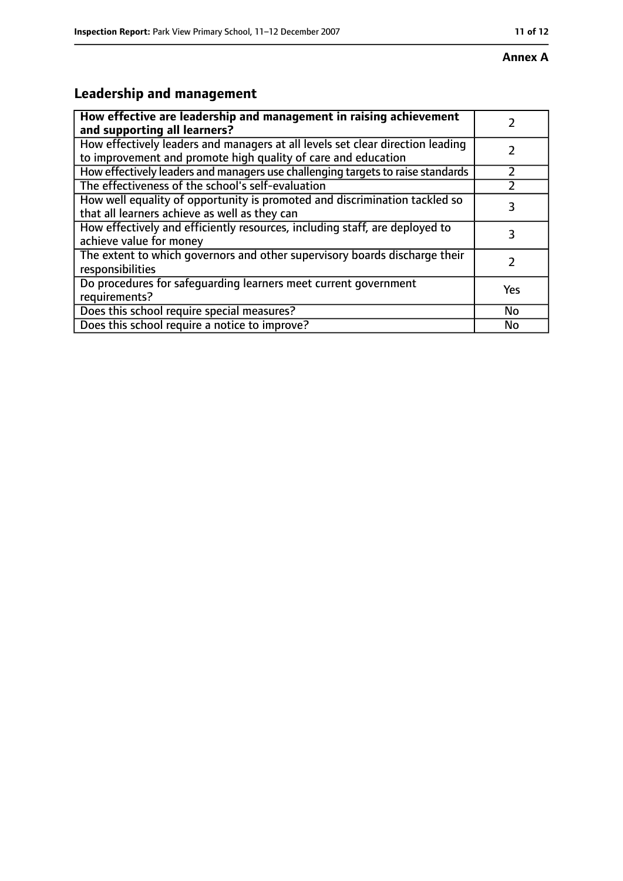# **Leadership and management**

| How effective are leadership and management in raising achievement<br>and supporting all learners?                                              |     |
|-------------------------------------------------------------------------------------------------------------------------------------------------|-----|
| How effectively leaders and managers at all levels set clear direction leading<br>to improvement and promote high quality of care and education |     |
| How effectively leaders and managers use challenging targets to raise standards                                                                 |     |
| The effectiveness of the school's self-evaluation                                                                                               |     |
| How well equality of opportunity is promoted and discrimination tackled so<br>that all learners achieve as well as they can                     | 3   |
| How effectively and efficiently resources, including staff, are deployed to<br>achieve value for money                                          | З   |
| The extent to which governors and other supervisory boards discharge their<br>responsibilities                                                  |     |
| Do procedures for safequarding learners meet current government<br>requirements?                                                                | Yes |
| Does this school require special measures?                                                                                                      | No  |
| Does this school require a notice to improve?                                                                                                   | No  |